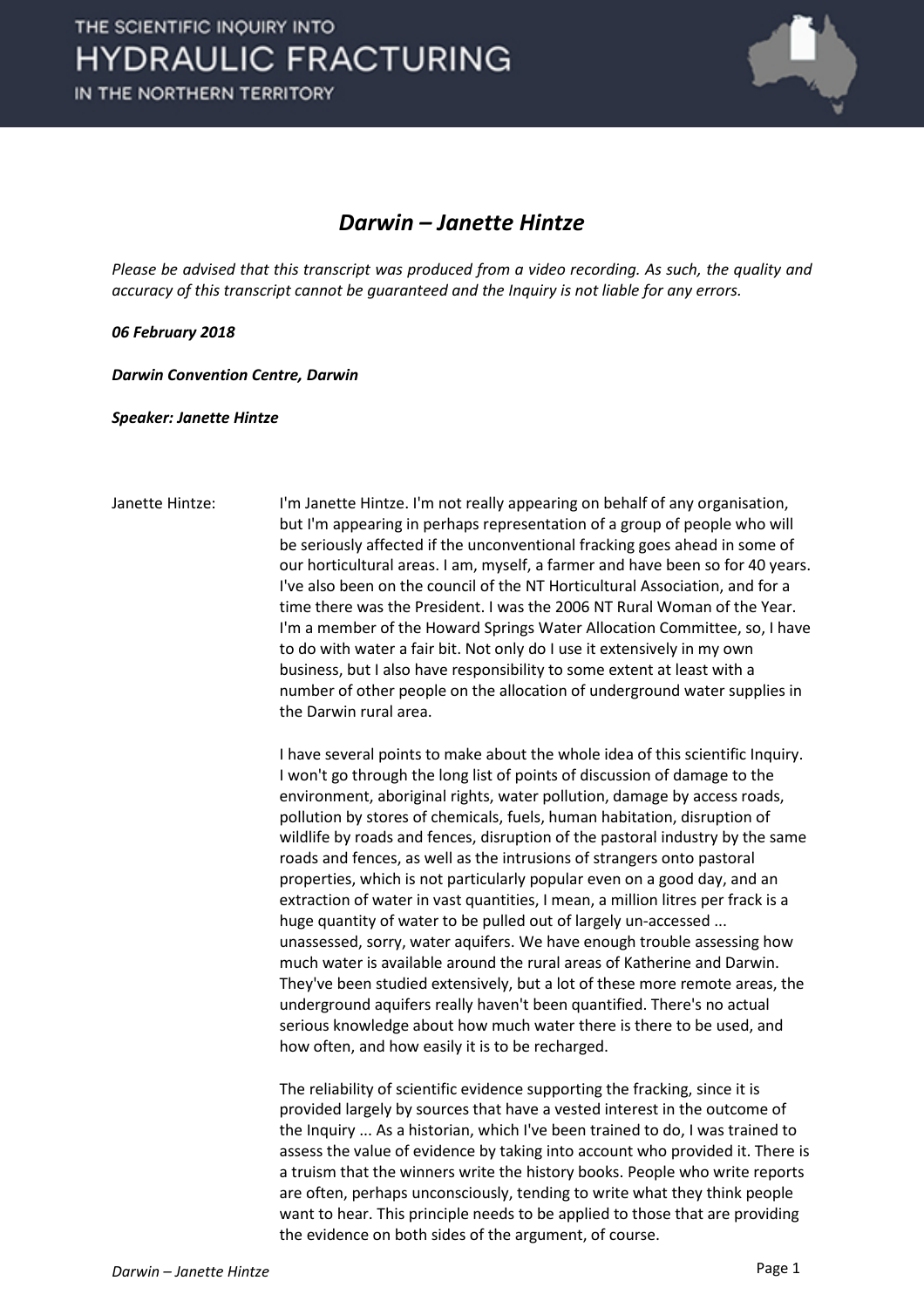

## *Darwin – Janette Hintze*

*Please be advised that this transcript was produced from a video recording. As such, the quality and accuracy of this transcript cannot be guaranteed and the Inquiry is not liable for any errors.*

## *06 February 2018*

*Darwin Convention Centre, Darwin* 

*Speaker: Janette Hintze*

Janette Hintze: I'm Janette Hintze. I'm not really appearing on behalf of any organisation, but I'm appearing in perhaps representation of a group of people who will be seriously affected if the unconventional fracking goes ahead in some of our horticultural areas. I am, myself, a farmer and have been so for 40 years. I've also been on the council of the NT Horticultural Association, and for a time there was the President. I was the 2006 NT Rural Woman of the Year. I'm a member of the Howard Springs Water Allocation Committee, so, I have to do with water a fair bit. Not only do I use it extensively in my own business, but I also have responsibility to some extent at least with a number of other people on the allocation of underground water supplies in the Darwin rural area.

> I have several points to make about the whole idea of this scientific Inquiry. I won't go through the long list of points of discussion of damage to the environment, aboriginal rights, water pollution, damage by access roads, pollution by stores of chemicals, fuels, human habitation, disruption of wildlife by roads and fences, disruption of the pastoral industry by the same roads and fences, as well as the intrusions of strangers onto pastoral properties, which is not particularly popular even on a good day, and an extraction of water in vast quantities, I mean, a million litres per frack is a huge quantity of water to be pulled out of largely un-accessed ... unassessed, sorry, water aquifers. We have enough trouble assessing how much water is available around the rural areas of Katherine and Darwin. They've been studied extensively, but a lot of these more remote areas, the underground aquifers really haven't been quantified. There's no actual serious knowledge about how much water there is there to be used, and how often, and how easily it is to be recharged.

> The reliability of scientific evidence supporting the fracking, since it is provided largely by sources that have a vested interest in the outcome of the Inquiry ... As a historian, which I've been trained to do, I was trained to assess the value of evidence by taking into account who provided it. There is a truism that the winners write the history books. People who write reports are often, perhaps unconsciously, tending to write what they think people want to hear. This principle needs to be applied to those that are providing the evidence on both sides of the argument, of course.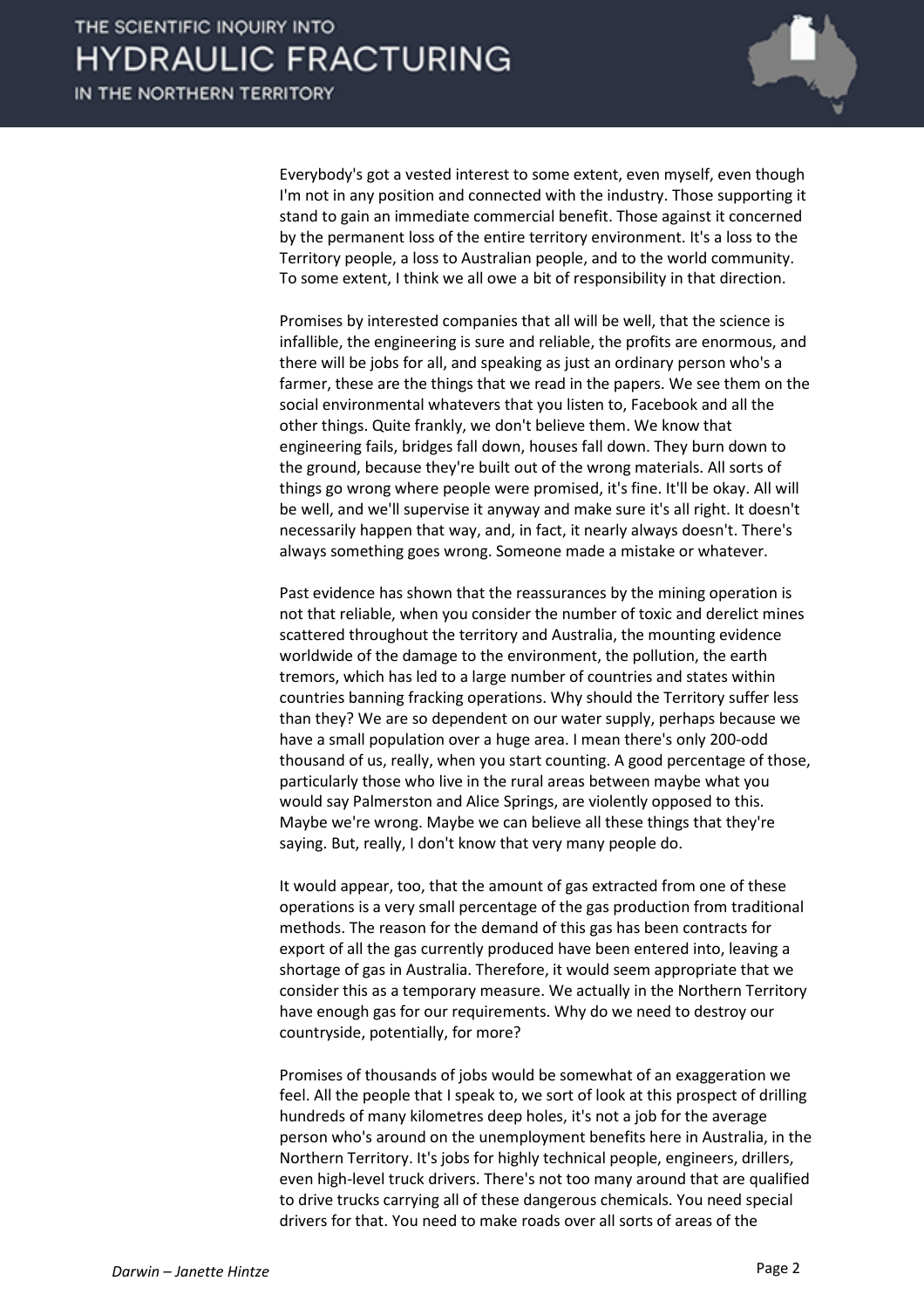

Everybody's got a vested interest to some extent, even myself, even though I'm not in any position and connected with the industry. Those supporting it stand to gain an immediate commercial benefit. Those against it concerned by the permanent loss of the entire territory environment. It's a loss to the Territory people, a loss to Australian people, and to the world community. To some extent, I think we all owe a bit of responsibility in that direction.

Promises by interested companies that all will be well, that the science is infallible, the engineering is sure and reliable, the profits are enormous, and there will be jobs for all, and speaking as just an ordinary person who's a farmer, these are the things that we read in the papers. We see them on the social environmental whatevers that you listen to, Facebook and all the other things. Quite frankly, we don't believe them. We know that engineering fails, bridges fall down, houses fall down. They burn down to the ground, because they're built out of the wrong materials. All sorts of things go wrong where people were promised, it's fine. It'll be okay. All will be well, and we'll supervise it anyway and make sure it's all right. It doesn't necessarily happen that way, and, in fact, it nearly always doesn't. There's always something goes wrong. Someone made a mistake or whatever.

Past evidence has shown that the reassurances by the mining operation is not that reliable, when you consider the number of toxic and derelict mines scattered throughout the territory and Australia, the mounting evidence worldwide of the damage to the environment, the pollution, the earth tremors, which has led to a large number of countries and states within countries banning fracking operations. Why should the Territory suffer less than they? We are so dependent on our water supply, perhaps because we have a small population over a huge area. I mean there's only 200-odd thousand of us, really, when you start counting. A good percentage of those, particularly those who live in the rural areas between maybe what you would say Palmerston and Alice Springs, are violently opposed to this. Maybe we're wrong. Maybe we can believe all these things that they're saying. But, really, I don't know that very many people do.

It would appear, too, that the amount of gas extracted from one of these operations is a very small percentage of the gas production from traditional methods. The reason for the demand of this gas has been contracts for export of all the gas currently produced have been entered into, leaving a shortage of gas in Australia. Therefore, it would seem appropriate that we consider this as a temporary measure. We actually in the Northern Territory have enough gas for our requirements. Why do we need to destroy our countryside, potentially, for more?

Promises of thousands of jobs would be somewhat of an exaggeration we feel. All the people that I speak to, we sort of look at this prospect of drilling hundreds of many kilometres deep holes, it's not a job for the average person who's around on the unemployment benefits here in Australia, in the Northern Territory. It's jobs for highly technical people, engineers, drillers, even high-level truck drivers. There's not too many around that are qualified to drive trucks carrying all of these dangerous chemicals. You need special drivers for that. You need to make roads over all sorts of areas of the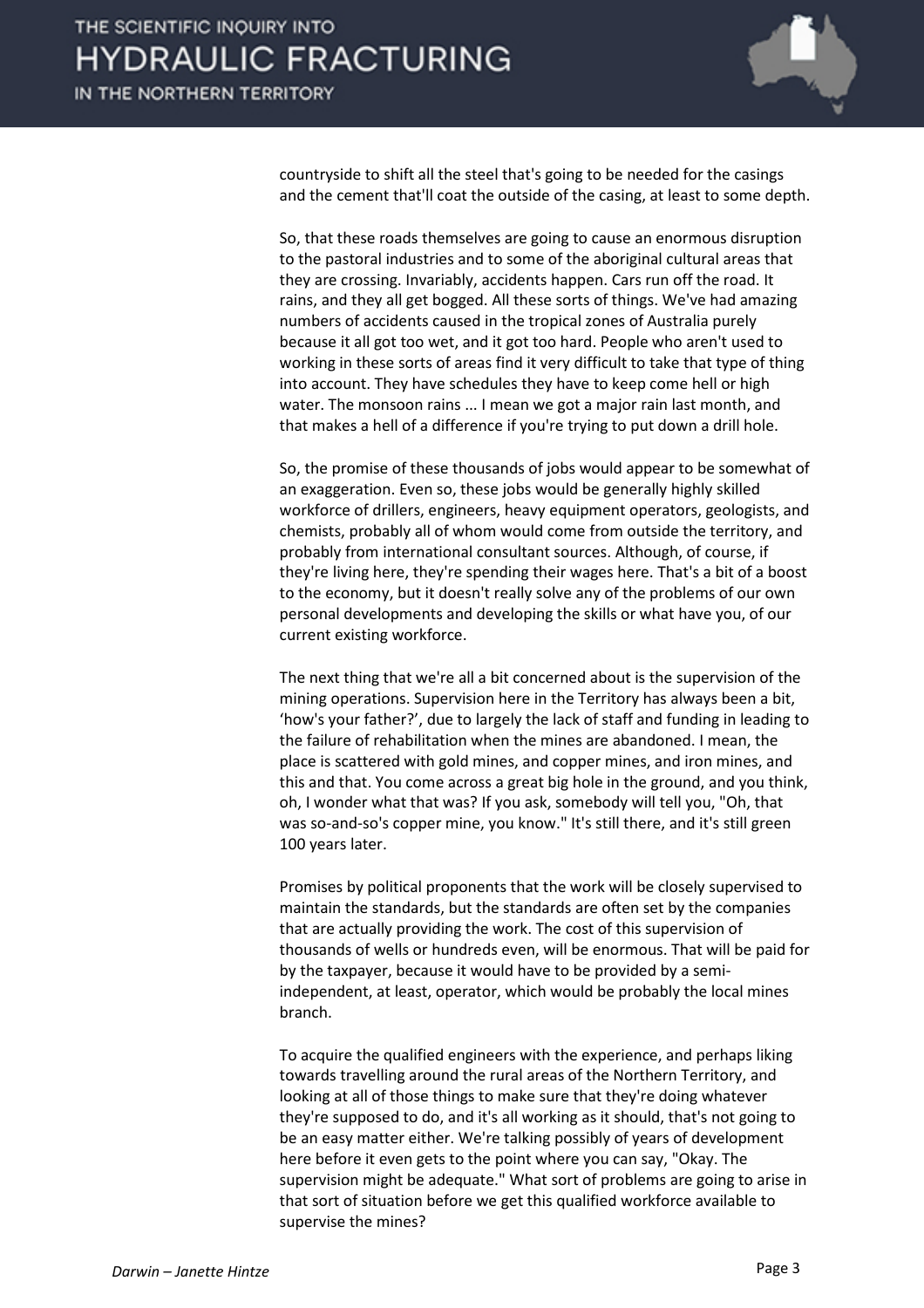

countryside to shift all the steel that's going to be needed for the casings and the cement that'll coat the outside of the casing, at least to some depth.

So, that these roads themselves are going to cause an enormous disruption to the pastoral industries and to some of the aboriginal cultural areas that they are crossing. Invariably, accidents happen. Cars run off the road. It rains, and they all get bogged. All these sorts of things. We've had amazing numbers of accidents caused in the tropical zones of Australia purely because it all got too wet, and it got too hard. People who aren't used to working in these sorts of areas find it very difficult to take that type of thing into account. They have schedules they have to keep come hell or high water. The monsoon rains ... I mean we got a major rain last month, and that makes a hell of a difference if you're trying to put down a drill hole.

So, the promise of these thousands of jobs would appear to be somewhat of an exaggeration. Even so, these jobs would be generally highly skilled workforce of drillers, engineers, heavy equipment operators, geologists, and chemists, probably all of whom would come from outside the territory, and probably from international consultant sources. Although, of course, if they're living here, they're spending their wages here. That's a bit of a boost to the economy, but it doesn't really solve any of the problems of our own personal developments and developing the skills or what have you, of our current existing workforce.

The next thing that we're all a bit concerned about is the supervision of the mining operations. Supervision here in the Territory has always been a bit, 'how's your father?', due to largely the lack of staff and funding in leading to the failure of rehabilitation when the mines are abandoned. I mean, the place is scattered with gold mines, and copper mines, and iron mines, and this and that. You come across a great big hole in the ground, and you think, oh, I wonder what that was? If you ask, somebody will tell you, "Oh, that was so-and-so's copper mine, you know." It's still there, and it's still green 100 years later.

Promises by political proponents that the work will be closely supervised to maintain the standards, but the standards are often set by the companies that are actually providing the work. The cost of this supervision of thousands of wells or hundreds even, will be enormous. That will be paid for by the taxpayer, because it would have to be provided by a semiindependent, at least, operator, which would be probably the local mines branch.

To acquire the qualified engineers with the experience, and perhaps liking towards travelling around the rural areas of the Northern Territory, and looking at all of those things to make sure that they're doing whatever they're supposed to do, and it's all working as it should, that's not going to be an easy matter either. We're talking possibly of years of development here before it even gets to the point where you can say, "Okay. The supervision might be adequate." What sort of problems are going to arise in that sort of situation before we get this qualified workforce available to supervise the mines?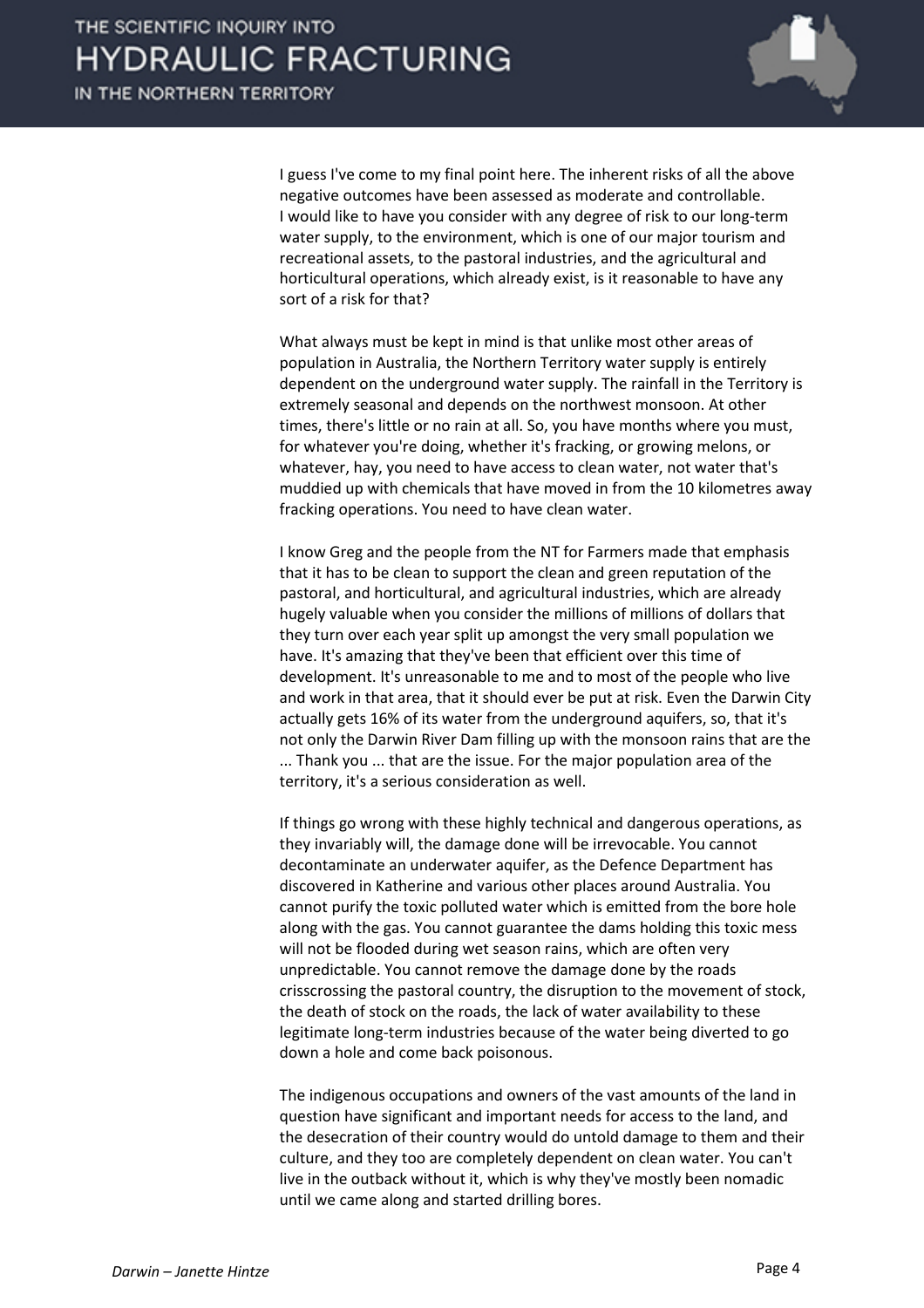

I guess I've come to my final point here. The inherent risks of all the above negative outcomes have been assessed as moderate and controllable. I would like to have you consider with any degree of risk to our long-term water supply, to the environment, which is one of our major tourism and recreational assets, to the pastoral industries, and the agricultural and horticultural operations, which already exist, is it reasonable to have any sort of a risk for that?

What always must be kept in mind is that unlike most other areas of population in Australia, the Northern Territory water supply is entirely dependent on the underground water supply. The rainfall in the Territory is extremely seasonal and depends on the northwest monsoon. At other times, there's little or no rain at all. So, you have months where you must, for whatever you're doing, whether it's fracking, or growing melons, or whatever, hay, you need to have access to clean water, not water that's muddied up with chemicals that have moved in from the 10 kilometres away fracking operations. You need to have clean water.

I know Greg and the people from the NT for Farmers made that emphasis that it has to be clean to support the clean and green reputation of the pastoral, and horticultural, and agricultural industries, which are already hugely valuable when you consider the millions of millions of dollars that they turn over each year split up amongst the very small population we have. It's amazing that they've been that efficient over this time of development. It's unreasonable to me and to most of the people who live and work in that area, that it should ever be put at risk. Even the Darwin City actually gets 16% of its water from the underground aquifers, so, that it's not only the Darwin River Dam filling up with the monsoon rains that are the ... Thank you ... that are the issue. For the major population area of the territory, it's a serious consideration as well.

If things go wrong with these highly technical and dangerous operations, as they invariably will, the damage done will be irrevocable. You cannot decontaminate an underwater aquifer, as the Defence Department has discovered in Katherine and various other places around Australia. You cannot purify the toxic polluted water which is emitted from the bore hole along with the gas. You cannot guarantee the dams holding this toxic mess will not be flooded during wet season rains, which are often very unpredictable. You cannot remove the damage done by the roads crisscrossing the pastoral country, the disruption to the movement of stock, the death of stock on the roads, the lack of water availability to these legitimate long-term industries because of the water being diverted to go down a hole and come back poisonous.

The indigenous occupations and owners of the vast amounts of the land in question have significant and important needs for access to the land, and the desecration of their country would do untold damage to them and their culture, and they too are completely dependent on clean water. You can't live in the outback without it, which is why they've mostly been nomadic until we came along and started drilling bores.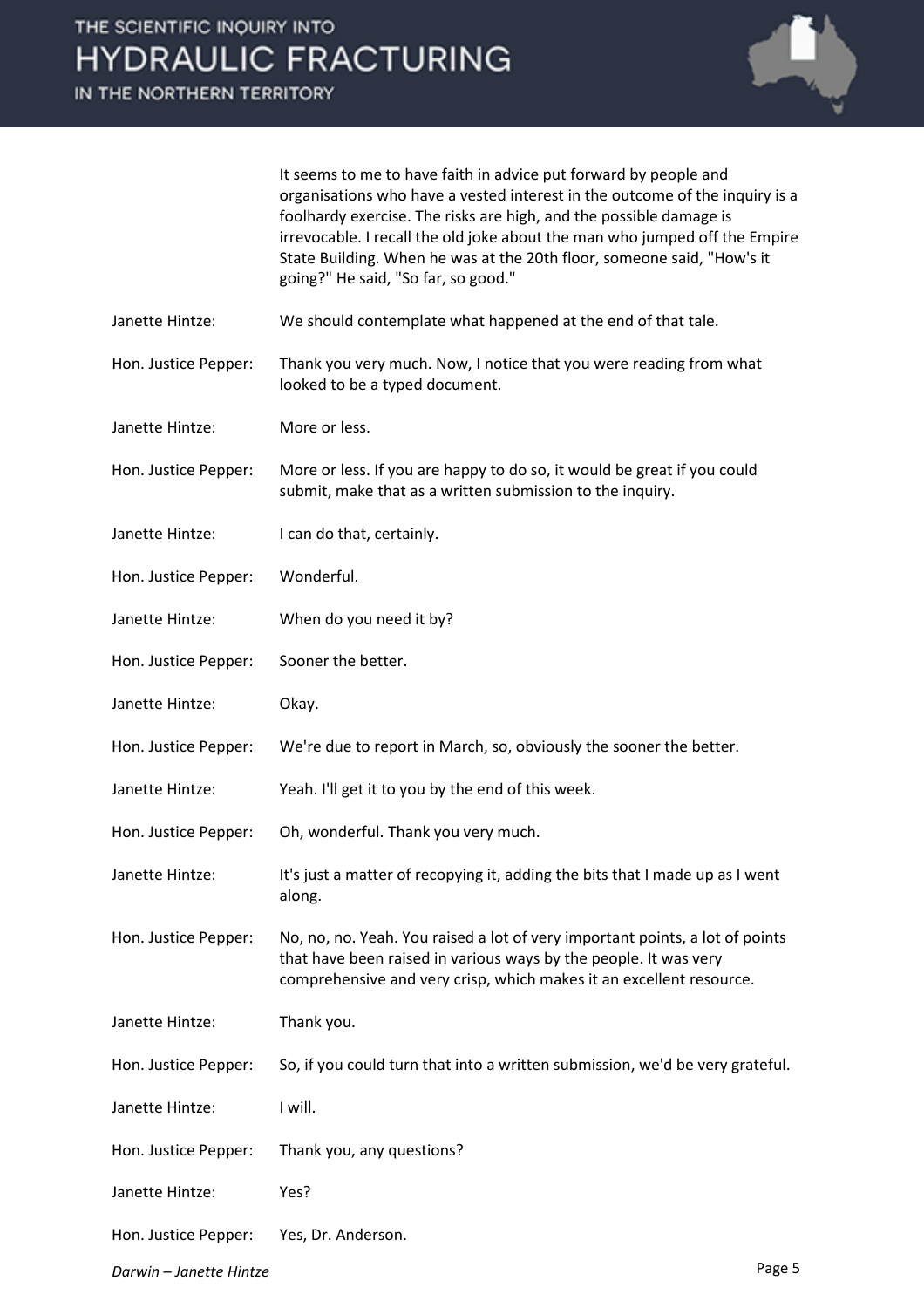IN THE NORTHERN TERRITORY



It seems to me to have faith in advice put forward by people and organisations who have a vested interest in the outcome of the inquiry is a foolhardy exercise. The risks are high, and the possible damage is irrevocable. I recall the old joke about the man who jumped off the Empire State Building. When he was at the 20th floor, someone said, "How's it going?" He said, "So far, so good."

- Janette Hintze: We should contemplate what happened at the end of that tale.
- Hon. Justice Pepper: Thank you very much. Now, I notice that you were reading from what looked to be a typed document.
- Janette Hintze: More or less.
- Hon. Justice Pepper: More or less. If you are happy to do so, it would be great if you could submit, make that as a written submission to the inquiry.
- Janette Hintze: I can do that, certainly.
- Hon. Justice Pepper: Wonderful.
- Janette Hintze: When do you need it by?
- Hon. Justice Pepper: Sooner the better.
- Janette Hintze: Okay.
- Hon. Justice Pepper: We're due to report in March, so, obviously the sooner the better.
- Janette Hintze: Yeah. I'll get it to you by the end of this week.
- Hon. Justice Pepper: Oh, wonderful. Thank you very much.
- Janette Hintze: It's just a matter of recopying it, adding the bits that I made up as I went along.
- Hon. Justice Pepper: No, no, no. Yeah. You raised a lot of very important points, a lot of points that have been raised in various ways by the people. It was very comprehensive and very crisp, which makes it an excellent resource.
- Janette Hintze: Thank you.
- Hon. Justice Pepper: So, if you could turn that into a written submission, we'd be very grateful.
- Janette Hintze: I will.
- Hon. Justice Pepper: Thank you, any questions?
- Janette Hintze: Yes?
- Hon. Justice Pepper: Yes, Dr. Anderson.
- *Darwin – Janette Hintze* Page 5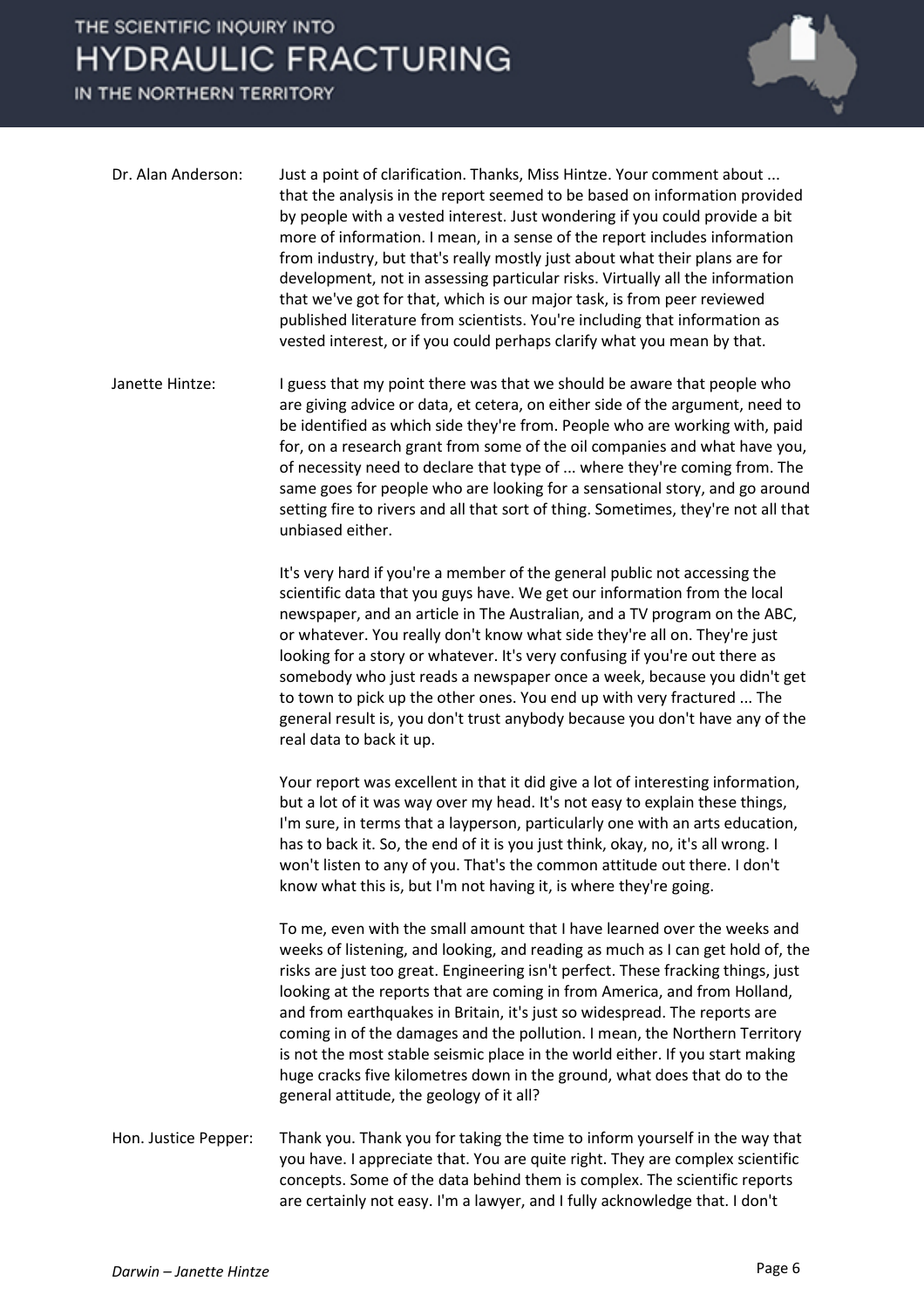## THE SCIENTIFIC INQUIRY INTO **HYDRAULIC FRACTURING**

IN THE NORTHERN TERRITORY



| Dr. Alan Anderson:   | Just a point of clarification. Thanks, Miss Hintze. Your comment about<br>that the analysis in the report seemed to be based on information provided<br>by people with a vested interest. Just wondering if you could provide a bit<br>more of information. I mean, in a sense of the report includes information<br>from industry, but that's really mostly just about what their plans are for<br>development, not in assessing particular risks. Virtually all the information<br>that we've got for that, which is our major task, is from peer reviewed<br>published literature from scientists. You're including that information as<br>vested interest, or if you could perhaps clarify what you mean by that. |
|----------------------|-----------------------------------------------------------------------------------------------------------------------------------------------------------------------------------------------------------------------------------------------------------------------------------------------------------------------------------------------------------------------------------------------------------------------------------------------------------------------------------------------------------------------------------------------------------------------------------------------------------------------------------------------------------------------------------------------------------------------|
| Janette Hintze:      | I guess that my point there was that we should be aware that people who<br>are giving advice or data, et cetera, on either side of the argument, need to<br>be identified as which side they're from. People who are working with, paid<br>for, on a research grant from some of the oil companies and what have you,<br>of necessity need to declare that type of  where they're coming from. The<br>same goes for people who are looking for a sensational story, and go around<br>setting fire to rivers and all that sort of thing. Sometimes, they're not all that<br>unbiased either.                                                                                                                           |
|                      | It's very hard if you're a member of the general public not accessing the<br>scientific data that you guys have. We get our information from the local<br>newspaper, and an article in The Australian, and a TV program on the ABC,<br>or whatever. You really don't know what side they're all on. They're just<br>looking for a story or whatever. It's very confusing if you're out there as<br>somebody who just reads a newspaper once a week, because you didn't get<br>to town to pick up the other ones. You end up with very fractured  The<br>general result is, you don't trust anybody because you don't have any of the<br>real data to back it up.                                                      |
|                      | Your report was excellent in that it did give a lot of interesting information,<br>but a lot of it was way over my head. It's not easy to explain these things,<br>I'm sure, in terms that a layperson, particularly one with an arts education,<br>has to back it. So, the end of it is you just think, okay, no, it's all wrong. I<br>won't listen to any of you. That's the common attitude out there. I don't<br>know what this is, but I'm not having it, is where they're going.                                                                                                                                                                                                                                |
|                      | To me, even with the small amount that I have learned over the weeks and<br>weeks of listening, and looking, and reading as much as I can get hold of, the<br>risks are just too great. Engineering isn't perfect. These fracking things, just<br>looking at the reports that are coming in from America, and from Holland,<br>and from earthquakes in Britain, it's just so widespread. The reports are<br>coming in of the damages and the pollution. I mean, the Northern Territory<br>is not the most stable seismic place in the world either. If you start making<br>huge cracks five kilometres down in the ground, what does that do to the<br>general attitude, the geology of it all?                       |
| Hon. Justice Pepper: | Thank you. Thank you for taking the time to inform yourself in the way that<br>you have. I appreciate that. You are quite right. They are complex scientific<br>concepts. Some of the data behind them is complex. The scientific reports<br>are certainly not easy. I'm a lawyer, and I fully acknowledge that. I don't                                                                                                                                                                                                                                                                                                                                                                                              |